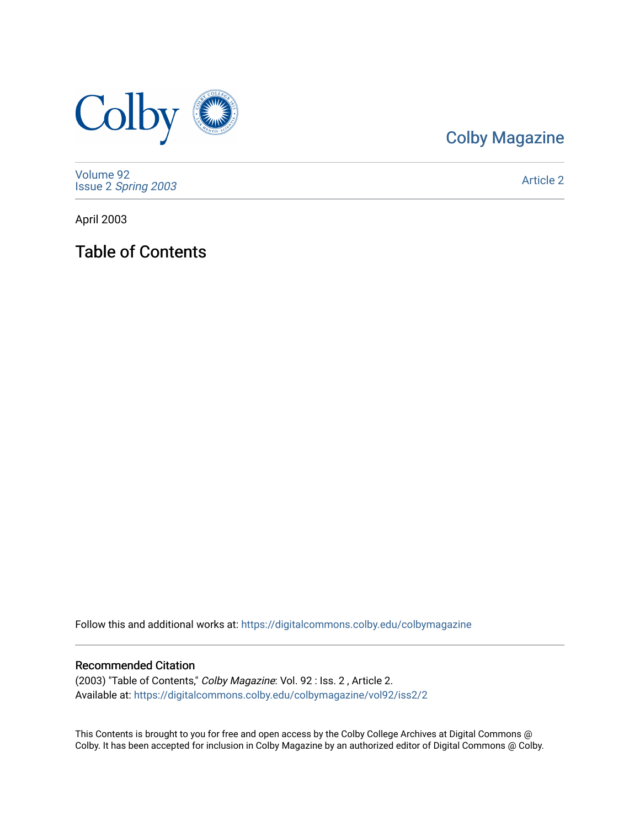

# [Colby Magazine](https://digitalcommons.colby.edu/colbymagazine)

[Volume 92](https://digitalcommons.colby.edu/colbymagazine/vol92) Issue 2 [Spring 2003](https://digitalcommons.colby.edu/colbymagazine/vol92/iss2) 

[Article 2](https://digitalcommons.colby.edu/colbymagazine/vol92/iss2/2) 

April 2003

Table of Contents

Follow this and additional works at: [https://digitalcommons.colby.edu/colbymagazine](https://digitalcommons.colby.edu/colbymagazine?utm_source=digitalcommons.colby.edu%2Fcolbymagazine%2Fvol92%2Fiss2%2F2&utm_medium=PDF&utm_campaign=PDFCoverPages)

## Recommended Citation

(2003) "Table of Contents," Colby Magazine: Vol. 92 : Iss. 2 , Article 2. Available at: [https://digitalcommons.colby.edu/colbymagazine/vol92/iss2/2](https://digitalcommons.colby.edu/colbymagazine/vol92/iss2/2?utm_source=digitalcommons.colby.edu%2Fcolbymagazine%2Fvol92%2Fiss2%2F2&utm_medium=PDF&utm_campaign=PDFCoverPages)

This Contents is brought to you for free and open access by the Colby College Archives at Digital Commons @ Colby. It has been accepted for inclusion in Colby Magazine by an authorized editor of Digital Commons @ Colby.